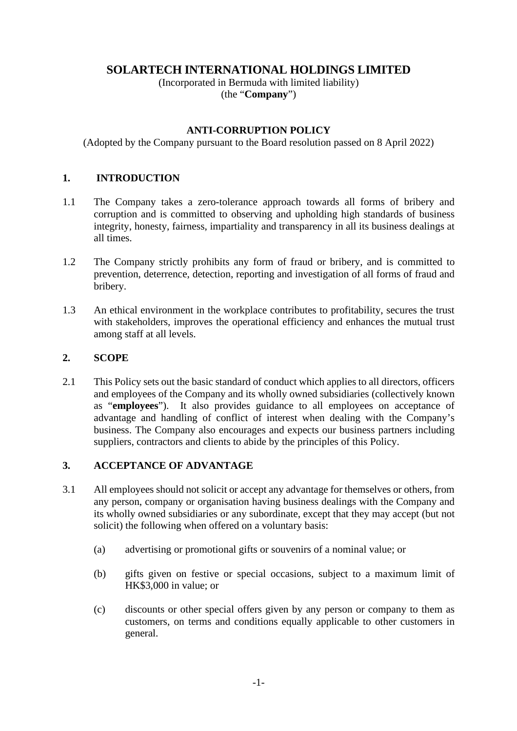# **SOLARTECH INTERNATIONAL HOLDINGS LIMITED**

(Incorporated in Bermuda with limited liability) (the "**Company**")

#### **ANTI-CORRUPTION POLICY**

(Adopted by the Company pursuant to the Board resolution passed on 8 April 2022)

## **1. INTRODUCTION**

- 1.1 The Company takes a zero-tolerance approach towards all forms of bribery and corruption and is committed to observing and upholding high standards of business integrity, honesty, fairness, impartiality and transparency in all its business dealings at all times.
- 1.2 The Company strictly prohibits any form of fraud or bribery, and is committed to prevention, deterrence, detection, reporting and investigation of all forms of fraud and bribery.
- 1.3 An ethical environment in the workplace contributes to profitability, secures the trust with stakeholders, improves the operational efficiency and enhances the mutual trust among staff at all levels.

## **2. SCOPE**

2.1 This Policy sets out the basic standard of conduct which applies to all directors, officers and employees of the Company and its wholly owned subsidiaries (collectively known as "**employees**"). It also provides guidance to all employees on acceptance of advantage and handling of conflict of interest when dealing with the Company's business. The Company also encourages and expects our business partners including suppliers, contractors and clients to abide by the principles of this Policy.

## **3. ACCEPTANCE OF ADVANTAGE**

- 3.1 All employees should not solicit or accept any advantage for themselves or others, from any person, company or organisation having business dealings with the Company and its wholly owned subsidiaries or any subordinate, except that they may accept (but not solicit) the following when offered on a voluntary basis:
	- (a) advertising or promotional gifts or souvenirs of a nominal value; or
	- (b) gifts given on festive or special occasions, subject to a maximum limit of HK\$3,000 in value; or
	- (c) discounts or other special offers given by any person or company to them as customers, on terms and conditions equally applicable to other customers in general.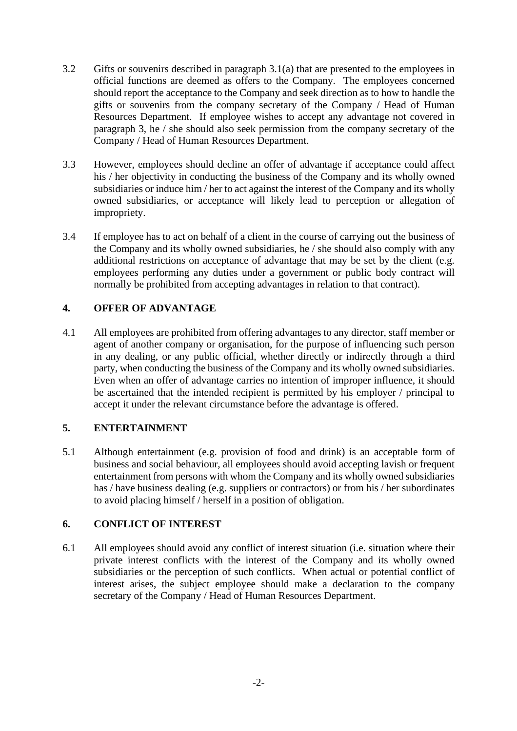- 3.2 Gifts or souvenirs described in paragraph 3.1(a) that are presented to the employees in official functions are deemed as offers to the Company. The employees concerned should report the acceptance to the Company and seek direction as to how to handle the gifts or souvenirs from the company secretary of the Company / Head of Human Resources Department. If employee wishes to accept any advantage not covered in paragraph 3, he / she should also seek permission from the company secretary of the Company / Head of Human Resources Department.
- 3.3 However, employees should decline an offer of advantage if acceptance could affect his / her objectivity in conducting the business of the Company and its wholly owned subsidiaries or induce him / her to act against the interest of the Company and its wholly owned subsidiaries, or acceptance will likely lead to perception or allegation of impropriety.
- 3.4 If employee has to act on behalf of a client in the course of carrying out the business of the Company and its wholly owned subsidiaries, he / she should also comply with any additional restrictions on acceptance of advantage that may be set by the client (e.g. employees performing any duties under a government or public body contract will normally be prohibited from accepting advantages in relation to that contract).

# **4. OFFER OF ADVANTAGE**

4.1 All employees are prohibited from offering advantages to any director, staff member or agent of another company or organisation, for the purpose of influencing such person in any dealing, or any public official, whether directly or indirectly through a third party, when conducting the business of the Company and its wholly owned subsidiaries. Even when an offer of advantage carries no intention of improper influence, it should be ascertained that the intended recipient is permitted by his employer / principal to accept it under the relevant circumstance before the advantage is offered.

## **5. ENTERTAINMENT**

5.1 Although entertainment (e.g. provision of food and drink) is an acceptable form of business and social behaviour, all employees should avoid accepting lavish or frequent entertainment from persons with whom the Company and its wholly owned subsidiaries has / have business dealing (e.g. suppliers or contractors) or from his / her subordinates to avoid placing himself / herself in a position of obligation.

## **6. CONFLICT OF INTEREST**

6.1 All employees should avoid any conflict of interest situation (i.e. situation where their private interest conflicts with the interest of the Company and its wholly owned subsidiaries or the perception of such conflicts. When actual or potential conflict of interest arises, the subject employee should make a declaration to the company secretary of the Company / Head of Human Resources Department.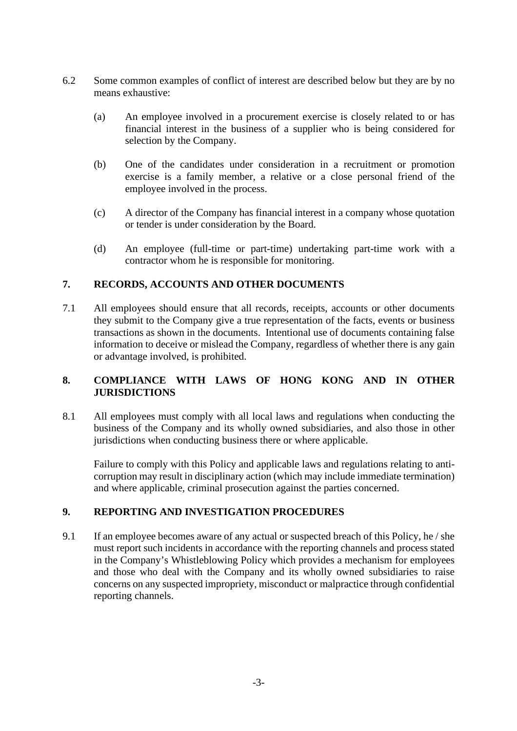- 6.2 Some common examples of conflict of interest are described below but they are by no means exhaustive:
	- (a) An employee involved in a procurement exercise is closely related to or has financial interest in the business of a supplier who is being considered for selection by the Company.
	- (b) One of the candidates under consideration in a recruitment or promotion exercise is a family member, a relative or a close personal friend of the employee involved in the process.
	- (c) A director of the Company has financial interest in a company whose quotation or tender is under consideration by the Board.
	- (d) An employee (full-time or part-time) undertaking part-time work with a contractor whom he is responsible for monitoring.

# **7. RECORDS, ACCOUNTS AND OTHER DOCUMENTS**

7.1 All employees should ensure that all records, receipts, accounts or other documents they submit to the Company give a true representation of the facts, events or business transactions as shown in the documents. Intentional use of documents containing false information to deceive or mislead the Company, regardless of whether there is any gain or advantage involved, is prohibited.

# **8. COMPLIANCE WITH LAWS OF HONG KONG AND IN OTHER JURISDICTIONS**

8.1 All employees must comply with all local laws and regulations when conducting the business of the Company and its wholly owned subsidiaries, and also those in other jurisdictions when conducting business there or where applicable.

Failure to comply with this Policy and applicable laws and regulations relating to anticorruption may result in disciplinary action (which may include immediate termination) and where applicable, criminal prosecution against the parties concerned.

## **9. REPORTING AND INVESTIGATION PROCEDURES**

9.1 If an employee becomes aware of any actual or suspected breach of this Policy, he / she must report such incidents in accordance with the reporting channels and process stated in the Company's Whistleblowing Policy which provides a mechanism for employees and those who deal with the Company and its wholly owned subsidiaries to raise concerns on any suspected impropriety, misconduct or malpractice through confidential reporting channels.